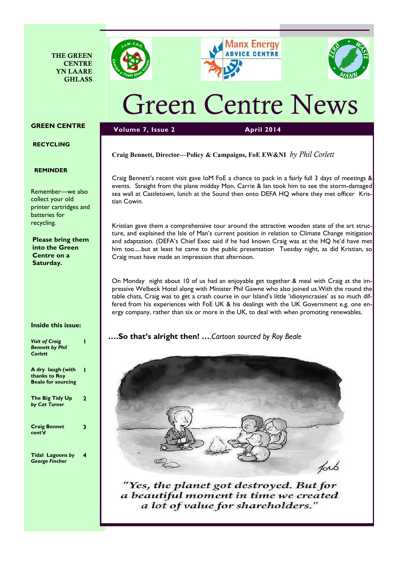







# Green Centre News

# GREEN CENTRE

# RECYCLING

### REMINDER

Remember—we also collect your old printer cartridges and batteries for recycling.

Please bring them into the Green Centre on a Saturday.

# Inside this issue:

| <b>Visit of Craig</b><br><b>Bennett by Phil</b><br>Corlett      |   |
|-----------------------------------------------------------------|---|
| A dry laugh (with<br>thanks to Roy<br><b>Beale for sourcing</b> |   |
| The Big Tidy Up<br>by Cat Turner                                | 2 |
| <b>Craig Bennet</b><br>cont'd                                   | 3 |
| <b>Tidal Lagoons by</b><br><b>George Fincher</b>                | 4 |

# Craig Bennett, Director—Policy & Campaigns, FoE EW&NI by Phil Corlett

Volume 7, Issue 2 April 2014

Craig Bennett's recent visit gave IoM FoE a chance to pack in a fairly full 3 days of meetings & events. Straight from the plane midday Mon, Carrie & Ian took him to see the storm-damaged sea wall at Castletown, lunch at the Sound then onto DEFA HQ where they met officer Kristian Cowin.

Kristian gave them a comprehensive tour around the attractive wooden state of the art structure, and explained the Isle of Man's current position in relation to Climate Change mitigation and adaptation. (DEFA's Chief Exec said if he had known Craig was at the HQ he'd have met him too.....but at least he came to the public presentation Tuesday night, as did Kristian, so Craig must have made an impression that afternoon.

On Monday night about 10 of us had an enjoyable get together & meal with Craig at the impressive Welbeck Hotel along with Minister Phil Gawne who also joined us.With the round the table chats, Craig was to get a crash course in our Island's little 'idiosyncrasies' as so much differed from his experiences with FoE UK & his dealings with the UK Government e.g. one energy company, rather than six or more in the UK, to deal with when promoting renewables.

# ....So that's alright then! ....Cartoon sourced by Roy Beale



"Yes, the planet got destroyed. But for a beautiful moment in time we created a lot of value for shareholders."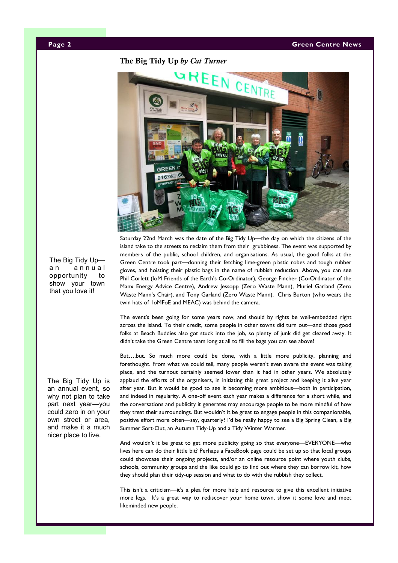The Big Tidy Up by Cat Turner



Saturday 22nd March was the date of the Big Tidy Up—the day on which the citizens of the island take to the streets to reclaim them from their grubbiness. The event was supported by members of the public, school children, and organisations. As usual, the good folks at the Green Centre took part—donning their fetching lime-green plastic robes and tough rubber gloves, and hoisting their plastic bags in the name of rubbish reduction. Above, you can see Phil Corlett (IoM Friends of the Earth's Co-Ordinator), George Fincher (Co-Ordinator of the Manx Energy Advice Centre), Andrew Jessopp (Zero Waste Mann), Muriel Garland (Zero Waste Mann's Chair), and Tony Garland (Zero Waste Mann). Chris Burton (who wears the twin hats of IoMFoE and MEAC) was behind the camera.

The event's been going for some years now, and should by rights be well-embedded right across the island. To their credit, some people in other towns did turn out—and those good folks at Beach Buddies also got stuck into the job, so plenty of junk did get cleared away. It didn't take the Green Centre team long at all to fill the bags you can see above!

But….but. So much more could be done, with a little more publicity, planning and forethought. From what we could tell, many people weren't even aware the event was taking place, and the turnout certainly seemed lower than it had in other years. We absolutely applaud the efforts of the organisers, in initiating this great project and keeping it alive year after year. But it would be good to see it becoming more ambitious—both in participation, and indeed in regularity. A one-off event each year makes a difference for a short while, and the conversations and publicity it generates may encourage people to be more mindful of how they treat their surroundings. But wouldn't it be great to engage people in this companionable, positive effort more often—say, quarterly? I'd be really happy to see a Big Spring Clean, a Big Summer Sort-Out, an Autumn Tidy-Up and a Tidy Winter Warmer.

And wouldn't it be great to get more publicity going so that everyone—EVERYONE—who lives here can do their little bit? Perhaps a FaceBook page could be set up so that local groups could showcase their ongoing projects, and/or an online resource point where youth clubs, schools, community groups and the like could go to find out where they can borrow kit, how they should plan their tidy-up session and what to do with the rubbish they collect.

This isn't a criticism—it's a plea for more help and resource to give this excellent initiative more legs. It's a great way to rediscover your home town, show it some love and meet likeminded new people.

The Big Tidy Up an annual opportunity to show your town that you love it!

The Big Tidy Up is an annual event, so why not plan to take part next year—you could zero in on your own street or area, and make it a much nicer place to live.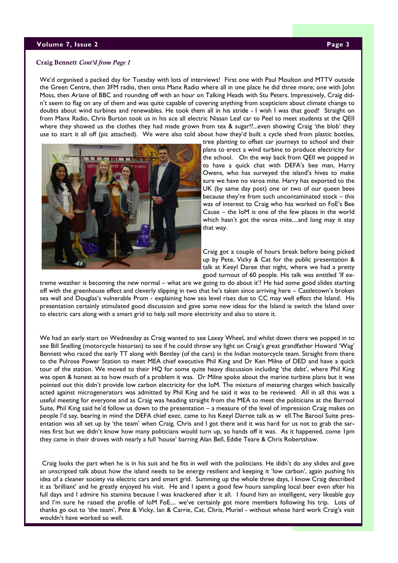#### volume 7, Issue 2 Page 3 Page 3 Page 3 Page 3 Page 3 Page 3 Page 3 Page 3 Page 3 Page 3 Page 3 Page 3 Page 3 Page 3

#### Craig Bennett Cont'd from Page 1

We'd organised a packed day for Tuesday with lots of interviews! First one with Paul Moulton and MTTV outside the Green Centre, then 3FM radio, then onto Manx Radio where all in one place he did three more; one with John Moss, then Ariane of BBC and rounding off with an hour on Talking Heads with Stu Peters. Impressively, Craig didn't seem to flag on any of them and was quite capable of covering anything from scepticism about climate change to doubts about wind turbines and renewables. He took them all in his stride - I wish I was that good! Straight on from Manx Radio, Chris Burton took us in his ace all electric Nissan Leaf car to Peel to meet students at the QEII where they showed us the clothes they had made grown from tea & sugar!?...even showing Craig 'the blob' they use to start it all off (pic attached). We were also told about how they'd built a cycle shed from plastic bottles,



tree planting to offset car journeys to school and their plans to erect a wind turbine to produce electricity for the school. On the way back from QEII we popped in to have a quick chat with DEFA's bee man, Harry Owens, who has surveyed the island's hives to make sure we have no varoa mite. Harry has exported to the UK (by same day post) one or two of our queen bees because they're from such uncontaminated stock – this was of interest to Craig who has worked on FoE's Bee Cause – the IoM is one of the few places in the world which hasn't got the varoa mite....and long may it stay that way.

Craig got a couple of hours break before being picked up by Pete, Vicky & Cat for the public presentation & talk at Keeyl Daree that night, where we had a pretty good turnout of 60 people. His talk was entitled 'If ex-

treme weather is becoming the new normal – what are we going to do about it'? He had some good slides starting off with the greenhouse effect and cleverly slipping in two that he's taken since arriving here – Castletown's broken sea wall and Douglas's vulnerable Prom - explaining how sea level rises due to CC may well effect the Island. His presentation certainly stimulated good discussion and gave some new ideas for the Island ie switch the Island over to electric cars along with a smart grid to help sell more electricity and also to store it.

We had an early start on Wednesday as Craig wanted to see Laxey Wheel, and whilst down there we popped in to see Bill Snelling (motorcycle historian) to see if he could throw any light on Craig's great grandfather Howard 'Wag' Bennett who raced the early TT along with Bentley (of the cars) in the Indian motorcycle team. Straight from there to the Pulrose Power Station to meet MEA chief executive Phil King and Dr Ken Milne of DED and have a quick tour of the station. We moved to their HQ for some quite heavy discussion including 'the debt', where Phil King was open & honest as to how much of a problem it was. Dr Milne spoke about the marine turbine plans but it was pointed out this didn't provide low carbon electricity for the IoM. The mixture of metering charges which basically acted against microgenerators was admitted by Phil King and he said it was to be reviewed. All in all this was a useful meeting for everyone and as Craig was heading straight from the MEA to meet the politicians at the Barrool Suite, Phil King said he'd follow us down to the presentation – a measure of the level of impression Craig makes on people I'd say, bearing in mind the DEFA chief exec. came to his Keeyl Darree talk as w ell.The Barool Suite presentation was all set up by 'the team' when Craig, Chris and I got there and it was hard for us not to grab the sarnies first but we didn't know how many politicians would turn up, so hands off it was. As it happened, come 1pm they came in their droves with nearly a full 'house' barring Alan Bell, Eddie Teare & Chris Robertshaw.

 Craig looks the part when he is in his suit and he fits in well with the politicians. He didn't do any slides and gave an unscripted talk about how the island needs to be energy resilient and keeping it 'low carbon', again pushing his idea of a cleaner society via electric cars and smart grid. Summing up the whole three days, I know Craig described it as 'brilliant' and he greatly enjoyed his visit. He and I spent a good few hours sampling local beer even after his full days and I admire his stamina because I was knackered after it all. I found him an intelligent, very likeable guy and I'm sure he raised the profile of IoM FoE.... we've certainly got more members following his trip. Lots of thanks go out to 'the team', Pete & Vicky, Ian & Carrie, Cat, Chris, Muriel - without whose hard work Craig's visit wouldn't have worked so well.